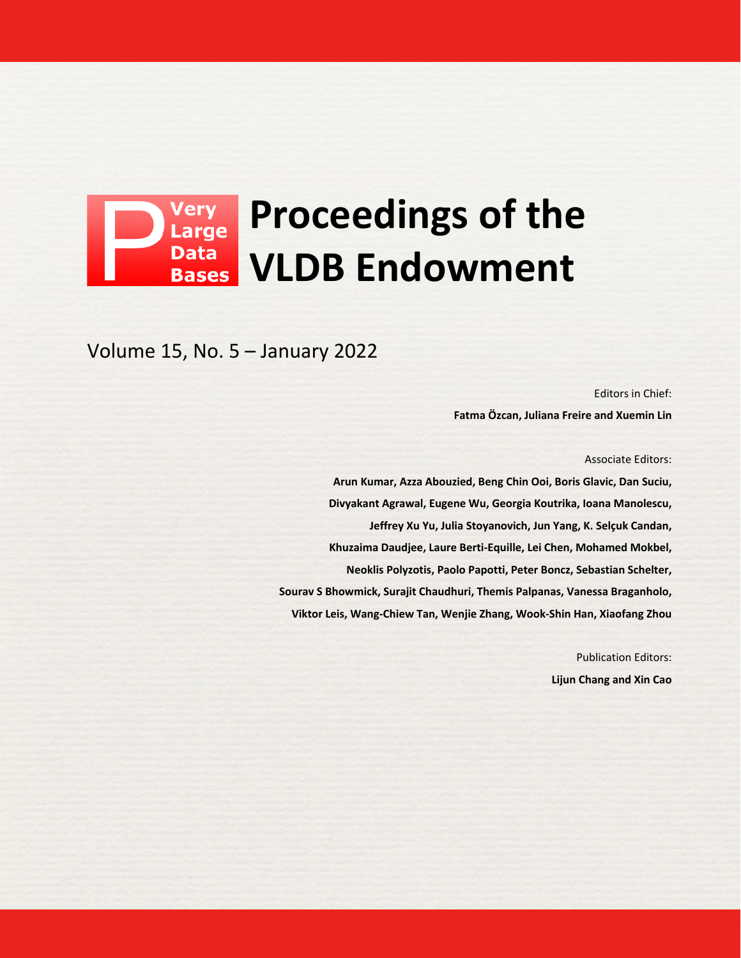## **Proceedings of the Data VLDB Endowment Bases**

Volume 15, No. 5 – January 2022

Editors in Chief: **Fatma Özcan, Juliana Freire and Xuemin Lin**

Associate Editors:

**Arun Kumar, Azza Abouzied, Beng Chin Ooi, Boris Glavic, Dan Suciu, Divyakant Agrawal, Eugene Wu, Georgia Koutrika, Ioana Manolescu, Jeffrey Xu Yu, Julia Stoyanovich, Jun Yang, K. Selçuk Candan, Khuzaima Daudjee, Laure Berti-Equille, Lei Chen, Mohamed Mokbel, Neoklis Polyzotis, Paolo Papotti, Peter Boncz, Sebastian Schelter, Sourav S Bhowmick, Surajit Chaudhuri, Themis Palpanas, Vanessa Braganholo, Viktor Leis, Wang-Chiew Tan, Wenjie Zhang, Wook-Shin Han, Xiaofang Zhou**

> Publication Editors: **Lijun Chang and Xin Cao**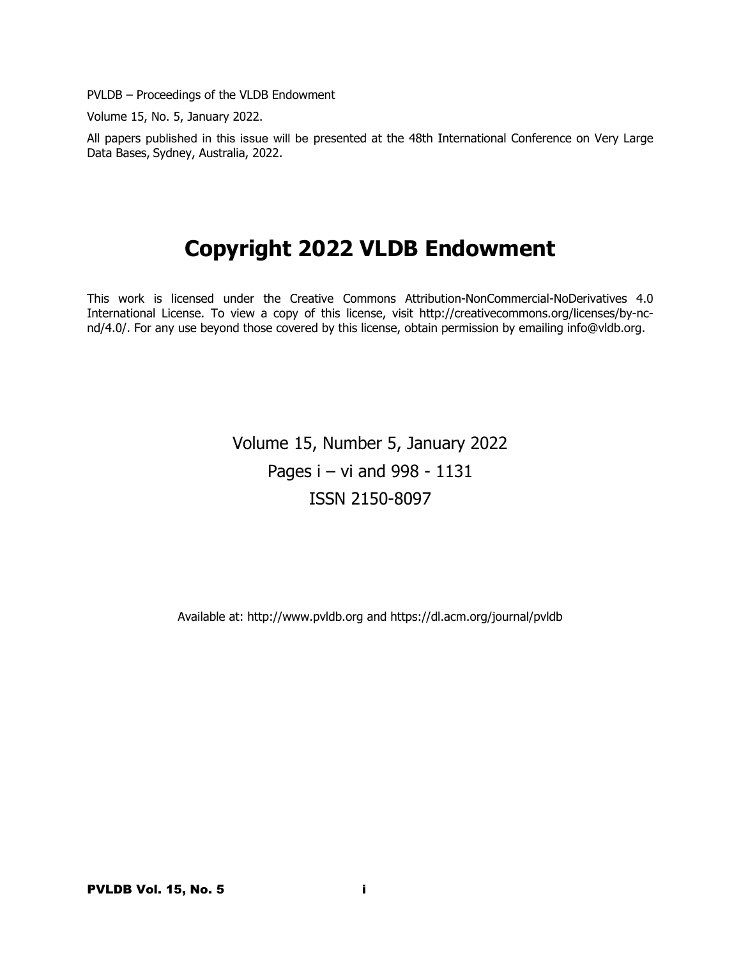PVLDB – Proceedings of the VLDB Endowment

Volume 15, No. 5, January 2022.

All papers published in this issue will be presented at the 48th International Conference on Very Large Data Bases, Sydney, Australia, 2022.

# **Copyright 2022 VLDB Endowment**

This work is licensed under the Creative Commons Attribution-NonCommercial-NoDerivatives 4.0 International License. To view a copy of this license, visit http://creativecommons.org/licenses/by-ncnd/4.0/. For any use beyond those covered by this license, obtain permission by emailing info@vldb.org.

> Volume 15, Number 5, January 2022 Pages i – vi and 998 - 1131 ISSN 2150-8097

Available at: http://www.pvldb.org and https://dl.acm.org/journal/pvldb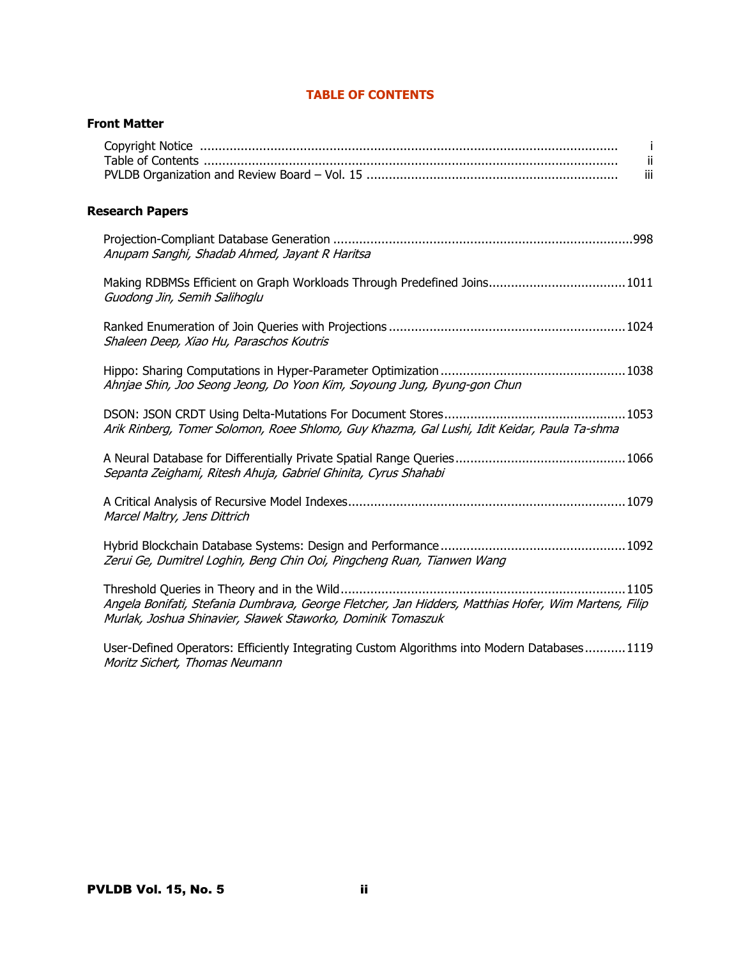|                        | -i<br>-ii<br>iii                                                                                                                                                    |
|------------------------|---------------------------------------------------------------------------------------------------------------------------------------------------------------------|
| <b>Research Papers</b> |                                                                                                                                                                     |
|                        | Anupam Sanghi, Shadab Ahmed, Jayant R Haritsa                                                                                                                       |
|                        | Making RDBMSs Efficient on Graph Workloads Through Predefined Joins1011<br>Guodong Jin, Semih Salihoglu                                                             |
|                        | Shaleen Deep, Xiao Hu, Paraschos Koutris                                                                                                                            |
|                        | Ahnjae Shin, Joo Seong Jeong, Do Yoon Kim, Soyoung Jung, Byung-gon Chun                                                                                             |
|                        | Arik Rinberg, Tomer Solomon, Roee Shlomo, Guy Khazma, Gal Lushi, Idit Keidar, Paula Ta-shma                                                                         |
|                        | Sepanta Zeighami, Ritesh Ahuja, Gabriel Ghinita, Cyrus Shahabi                                                                                                      |
|                        | Marcel Maltry, Jens Dittrich                                                                                                                                        |
|                        | Zerui Ge, Dumitrel Loghin, Beng Chin Ooi, Pingcheng Ruan, Tianwen Wang                                                                                              |
|                        | Angela Bonifati, Stefania Dumbrava, George Fletcher, Jan Hidders, Matthias Hofer, Wim Martens, Filip<br>Murlak, Joshua Shinavier, Sławek Staworko, Dominik Tomaszuk |
|                        | User-Defined Operators: Efficiently Integrating Custom Algorithms into Modern Databases1119<br>Moritz Sichert, Thomas Neumann                                       |

## **TABLE OF CONTENTS**

**Front Matter**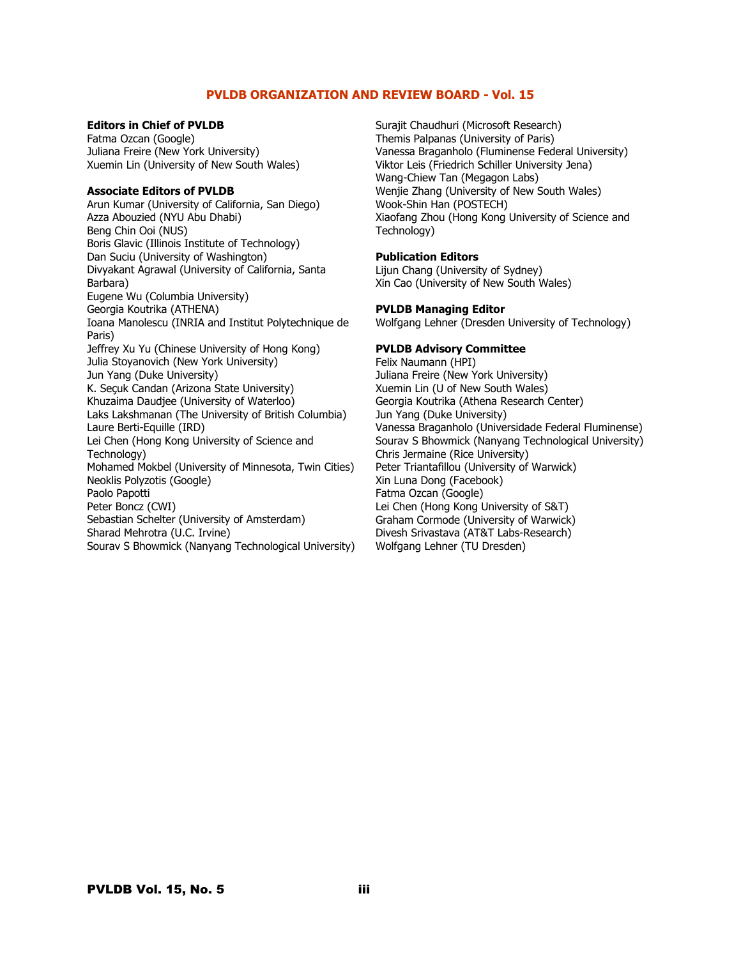## **PVLDB ORGANIZATION AND REVIEW BOARD - Vol. 15**

#### **Editors in Chief of PVLDB**

Fatma Ozcan (Google) Juliana Freire (New York University) Xuemin Lin (University of New South Wales)

#### **Associate Editors of PVLDB**

Arun Kumar (University of California, San Diego) Azza Abouzied (NYU Abu Dhabi) Beng Chin Ooi (NUS) Boris Glavic (Illinois Institute of Technology) Dan Suciu (University of Washington) Divyakant Agrawal (University of California, Santa Barbara) Eugene Wu (Columbia University) Georgia Koutrika (ATHENA) Ioana Manolescu (INRIA and Institut Polytechnique de Paris) Jeffrey Xu Yu (Chinese University of Hong Kong) Julia Stoyanovich (New York University) Jun Yang (Duke University) K. Seçuk Candan (Arizona State University) Khuzaima Daudjee (University of Waterloo) Laks Lakshmanan (The University of British Columbia) Laure Berti-Equille (IRD) Lei Chen (Hong Kong University of Science and Technology) Mohamed Mokbel (University of Minnesota, Twin Cities) Neoklis Polyzotis (Google) Paolo Papotti Peter Boncz (CWI) Sebastian Schelter (University of Amsterdam) Sharad Mehrotra (U.C. Irvine) Sourav S Bhowmick (Nanyang Technological University) Surajit Chaudhuri (Microsoft Research) Themis Palpanas (University of Paris) Vanessa Braganholo (Fluminense Federal University) Viktor Leis (Friedrich Schiller University Jena) Wang-Chiew Tan (Megagon Labs) Wenjie Zhang (University of New South Wales) Wook-Shin Han (POSTECH) Xiaofang Zhou (Hong Kong University of Science and Technology)

#### **Publication Editors**

Lijun Chang (University of Sydney) Xin Cao (University of New South Wales)

#### **PVLDB Managing Editor**

Wolfgang Lehner (Dresden University of Technology)

## **PVLDB Advisory Committee**

Felix Naumann (HPI) Juliana Freire (New York University) Xuemin Lin (U of New South Wales) Georgia Koutrika (Athena Research Center) Jun Yang (Duke University) Vanessa Braganholo (Universidade Federal Fluminense) Sourav S Bhowmick (Nanyang Technological University) Chris Jermaine (Rice University) Peter Triantafillou (University of Warwick) Xin Luna Dong (Facebook) Fatma Ozcan (Google) Lei Chen (Hong Kong University of S&T) Graham Cormode (University of Warwick) Divesh Srivastava (AT&T Labs-Research) Wolfgang Lehner (TU Dresden)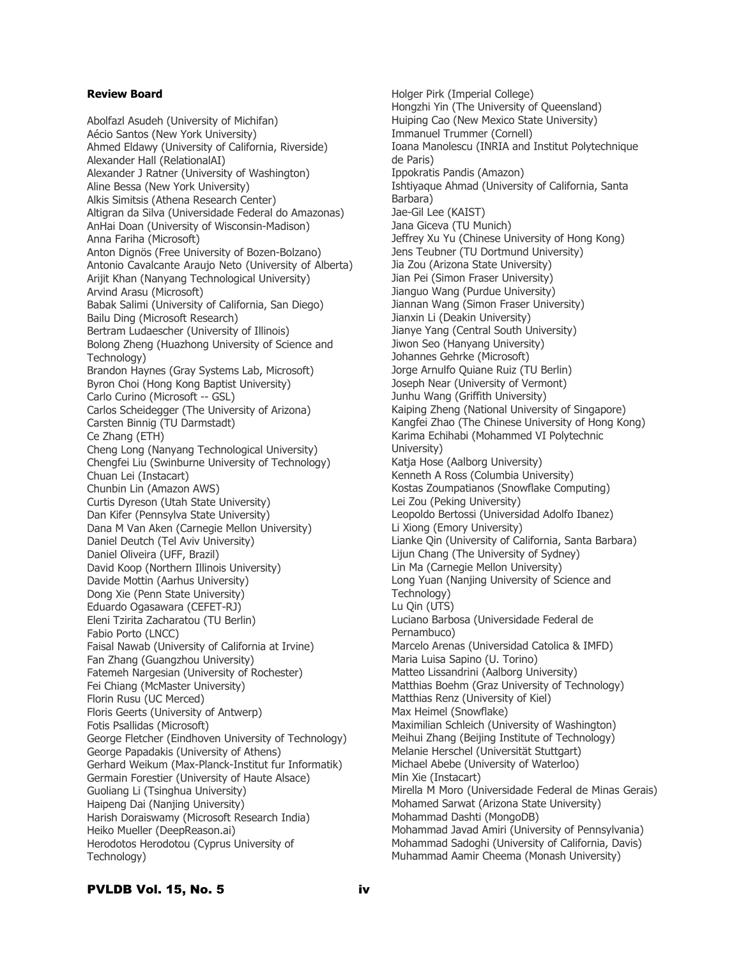## **Review Board**

Abolfazl Asudeh (University of Michifan) Aécio Santos (New York University) Ahmed Eldawy (University of California, Riverside) Alexander Hall (RelationalAI) Alexander J Ratner (University of Washington) Aline Bessa (New York University) Alkis Simitsis (Athena Research Center) Altigran da Silva (Universidade Federal do Amazonas) AnHai Doan (University of Wisconsin-Madison) Anna Fariha (Microsoft) Anton Dignös (Free University of Bozen-Bolzano) Antonio Cavalcante Araujo Neto (University of Alberta) Arijit Khan (Nanyang Technological University) Arvind Arasu (Microsoft) Babak Salimi (University of California, San Diego) Bailu Ding (Microsoft Research) Bertram Ludaescher (University of Illinois) Bolong Zheng (Huazhong University of Science and Technology) Brandon Haynes (Gray Systems Lab, Microsoft) Byron Choi (Hong Kong Baptist University) Carlo Curino (Microsoft -- GSL) Carlos Scheidegger (The University of Arizona) Carsten Binnig (TU Darmstadt) Ce Zhang (ETH) Cheng Long (Nanyang Technological University) Chengfei Liu (Swinburne University of Technology) Chuan Lei (Instacart) Chunbin Lin (Amazon AWS) Curtis Dyreson (Utah State University) Dan Kifer (Pennsylva State University) Dana M Van Aken (Carnegie Mellon University) Daniel Deutch (Tel Aviv University) Daniel Oliveira (UFF, Brazil) David Koop (Northern Illinois University) Davide Mottin (Aarhus University) Dong Xie (Penn State University) Eduardo Ogasawara (CEFET-RJ) Eleni Tzirita Zacharatou (TU Berlin) Fabio Porto (LNCC) Faisal Nawab (University of California at Irvine) Fan Zhang (Guangzhou University) Fatemeh Nargesian (University of Rochester) Fei Chiang (McMaster University) Florin Rusu (UC Merced) Floris Geerts (University of Antwerp) Fotis Psallidas (Microsoft) George Fletcher (Eindhoven University of Technology) George Papadakis (University of Athens) Gerhard Weikum (Max-Planck-Institut fur Informatik) Germain Forestier (University of Haute Alsace) Guoliang Li (Tsinghua University) Haipeng Dai (Nanjing University) Harish Doraiswamy (Microsoft Research India) Heiko Mueller (DeepReason.ai) Herodotos Herodotou (Cyprus University of Technology)

Holger Pirk (Imperial College) Hongzhi Yin (The University of Queensland) Huiping Cao (New Mexico State University) Immanuel Trummer (Cornell) Ioana Manolescu (INRIA and Institut Polytechnique de Paris) Ippokratis Pandis (Amazon) Ishtiyaque Ahmad (University of California, Santa Barbara) Jae-Gil Lee (KAIST) Jana Giceva (TU Munich) Jeffrey Xu Yu (Chinese University of Hong Kong) Jens Teubner (TU Dortmund University) Jia Zou (Arizona State University) Jian Pei (Simon Fraser University) Jianguo Wang (Purdue University) Jiannan Wang (Simon Fraser University) Jianxin Li (Deakin University) Jianye Yang (Central South University) Jiwon Seo (Hanyang University) Johannes Gehrke (Microsoft) Jorge Arnulfo Quiane Ruiz (TU Berlin) Joseph Near (University of Vermont) Junhu Wang (Griffith University) Kaiping Zheng (National University of Singapore) Kangfei Zhao (The Chinese University of Hong Kong) Karima Echihabi (Mohammed VI Polytechnic University) Katja Hose (Aalborg University) Kenneth A Ross (Columbia University) Kostas Zoumpatianos (Snowflake Computing) Lei Zou (Peking University) Leopoldo Bertossi (Universidad Adolfo Ibanez) Li Xiong (Emory University) Lianke Qin (University of California, Santa Barbara) Lijun Chang (The University of Sydney) Lin Ma (Carnegie Mellon University) Long Yuan (Nanjing University of Science and Technology) Lu Qin (UTS) Luciano Barbosa (Universidade Federal de Pernambuco) Marcelo Arenas (Universidad Catolica & IMFD) Maria Luisa Sapino (U. Torino) Matteo Lissandrini (Aalborg University) Matthias Boehm (Graz University of Technology) Matthias Renz (University of Kiel) Max Heimel (Snowflake) Maximilian Schleich (University of Washington) Meihui Zhang (Beijing Institute of Technology) Melanie Herschel (Universität Stuttgart) Michael Abebe (University of Waterloo) Min Xie (Instacart) Mirella M Moro (Universidade Federal de Minas Gerais) Mohamed Sarwat (Arizona State University) Mohammad Dashti (MongoDB) Mohammad Javad Amiri (University of Pennsylvania) Mohammad Sadoghi (University of California, Davis) Muhammad Aamir Cheema (Monash University)

## PVLDB Vol. 15, No. 5 iv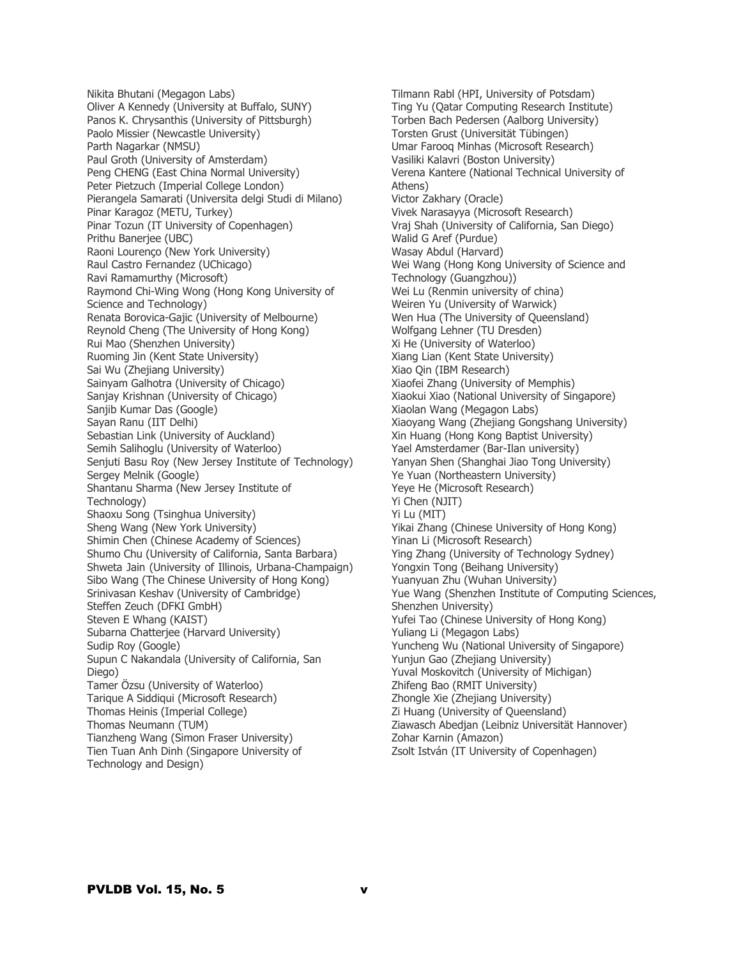Nikita Bhutani (Megagon Labs) Oliver A Kennedy (University at Buffalo, SUNY) Panos K. Chrysanthis (University of Pittsburgh) Paolo Missier (Newcastle University) Parth Nagarkar (NMSU) Paul Groth (University of Amsterdam) Peng CHENG (East China Normal University) Peter Pietzuch (Imperial College London) Pierangela Samarati (Universita delgi Studi di Milano) Pinar Karagoz (METU, Turkey) Pinar Tozun (IT University of Copenhagen) Prithu Banerjee (UBC) Raoni Lourenço (New York University) Raul Castro Fernandez (UChicago) Ravi Ramamurthy (Microsoft) Raymond Chi-Wing Wong (Hong Kong University of Science and Technology) Renata Borovica-Gajic (University of Melbourne) Reynold Cheng (The University of Hong Kong) Rui Mao (Shenzhen University) Ruoming Jin (Kent State University) Sai Wu (Zhejiang University) Sainyam Galhotra (University of Chicago) Sanjay Krishnan (University of Chicago) Sanjib Kumar Das (Google) Sayan Ranu (IIT Delhi) Sebastian Link (University of Auckland) Semih Salihoglu (University of Waterloo) Senjuti Basu Roy (New Jersey Institute of Technology) Sergey Melnik (Google) Shantanu Sharma (New Jersey Institute of Technology) Shaoxu Song (Tsinghua University) Sheng Wang (New York University) Shimin Chen (Chinese Academy of Sciences) Shumo Chu (University of California, Santa Barbara) Shweta Jain (University of Illinois, Urbana-Champaign) Sibo Wang (The Chinese University of Hong Kong) Srinivasan Keshav (University of Cambridge) Steffen Zeuch (DFKI GmbH) Steven E Whang (KAIST) Subarna Chatterjee (Harvard University) Sudip Roy (Google) Supun C Nakandala (University of California, San Diego) Tamer Özsu (University of Waterloo) Tarique A Siddiqui (Microsoft Research) Thomas Heinis (Imperial College) Thomas Neumann (TUM) Tianzheng Wang (Simon Fraser University) Tien Tuan Anh Dinh (Singapore University of Technology and Design)

Tilmann Rabl (HPI, University of Potsdam) Ting Yu (Qatar Computing Research Institute) Torben Bach Pedersen (Aalborg University) Torsten Grust (Universität Tübingen) Umar Farooq Minhas (Microsoft Research) Vasiliki Kalavri (Boston University) Verena Kantere (National Technical University of Athens) Victor Zakhary (Oracle) Vivek Narasayya (Microsoft Research) Vraj Shah (University of California, San Diego) Walid G Aref (Purdue) Wasay Abdul (Harvard) Wei Wang (Hong Kong University of Science and Technology (Guangzhou)) Wei Lu (Renmin university of china) Weiren Yu (University of Warwick) Wen Hua (The University of Queensland) Wolfgang Lehner (TU Dresden) Xi He (University of Waterloo) Xiang Lian (Kent State University) Xiao Qin (IBM Research) Xiaofei Zhang (University of Memphis) Xiaokui Xiao (National University of Singapore) Xiaolan Wang (Megagon Labs) Xiaoyang Wang (Zhejiang Gongshang University) Xin Huang (Hong Kong Baptist University) Yael Amsterdamer (Bar-Ilan university) Yanyan Shen (Shanghai Jiao Tong University) Ye Yuan (Northeastern University) Yeye He (Microsoft Research) Yi Chen (NJIT) Yi Lu (MIT) Yikai Zhang (Chinese University of Hong Kong) Yinan Li (Microsoft Research) Ying Zhang (University of Technology Sydney) Yongxin Tong (Beihang University) Yuanyuan Zhu (Wuhan University) Yue Wang (Shenzhen Institute of Computing Sciences, Shenzhen University) Yufei Tao (Chinese University of Hong Kong) Yuliang Li (Megagon Labs) Yuncheng Wu (National University of Singapore) Yunjun Gao (Zhejiang University) Yuval Moskovitch (University of Michigan) Zhifeng Bao (RMIT University) Zhongle Xie (Zhejiang University) Zi Huang (University of Queensland) Ziawasch Abedjan (Leibniz Universität Hannover) Zohar Karnin (Amazon) Zsolt István (IT University of Copenhagen)